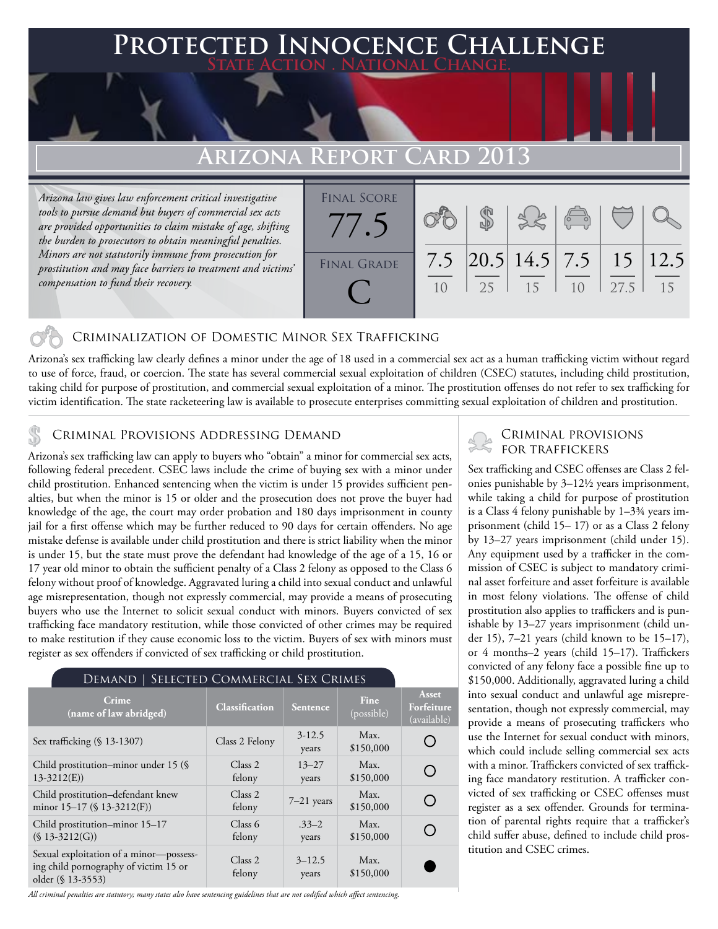## **Protected Innocence Challenge State Action . National Change.**

# **Arizona Report Card 2013**

*Arizona law gives law enforcement critical investigative tools to pursue demand but buyers of commercial sex acts are provided opportunities to claim mistake of age, shifting the burden to prosecutors to obtain meaningful penalties. Minors are not statutorily immune from prosecution for prostitution and may face barriers to treatment and victims' compensation to fund their recovery.*



## Criminalization of Domestic Minor Sex Trafficking

Arizona's sex trafficking law clearly defines a minor under the age of 18 used in a commercial sex act as a human trafficking victim without regard to use of force, fraud, or coercion. The state has several commercial sexual exploitation of children (CSEC) statutes, including child prostitution, taking child for purpose of prostitution, and commercial sexual exploitation of a minor. The prostitution offenses do not refer to sex trafficking for victim identification. The state racketeering law is available to prosecute enterprises committing sexual exploitation of children and prostitution.

## Criminal Provisions Addressing Demand

Arizona's sex trafficking law can apply to buyers who "obtain" a minor for commercial sex acts, following federal precedent. CSEC laws include the crime of buying sex with a minor under child prostitution. Enhanced sentencing when the victim is under 15 provides sufficient penalties, but when the minor is 15 or older and the prosecution does not prove the buyer had knowledge of the age, the court may order probation and 180 days imprisonment in county jail for a first offense which may be further reduced to 90 days for certain offenders. No age mistake defense is available under child prostitution and there is strict liability when the minor is under 15, but the state must prove the defendant had knowledge of the age of a 15, 16 or 17 year old minor to obtain the sufficient penalty of a Class 2 felony as opposed to the Class 6 felony without proof of knowledge. Aggravated luring a child into sexual conduct and unlawful age misrepresentation, though not expressly commercial, may provide a means of prosecuting buyers who use the Internet to solicit sexual conduct with minors. Buyers convicted of sex trafficking face mandatory restitution, while those convicted of other crimes may be required to make restitution if they cause economic loss to the victim. Buyers of sex with minors must register as sex offenders if convicted of sex trafficking or child prostitution.

#### Demand | Selected Commercial Sex Crimes **Asset Crime Crime**<br> **Classification Sentence Fine**<br> **Classification Sentence Fine Forfeiture**  (possible) (available) Sex trafficking (§ 13-1307) Class 2 Felony 3-12.5 Max. O \$150,000 years Child prostitution–minor under 15 (§ Class 2 13–27 Max. ∩ 13-3212(E)) felony years \$150,000 Child prostitution–defendant knew Class 2 Class 2  $7-21$  years  $Max.$ <br>felony  $7-21$  years \$150,00  $\bigcirc$ minor 15–17 (§ 13-3212(F)) \$150,000 Child prostitution–minor 15–17 Class 6 Max. .33–2  $\bigcirc$  $($13-3212(G))$ felony \$150,000 years Sexual exploitation of a minor—possess-Class 2 3–12.5 Max. ing child pornography of victim 15 or felony years \$150,000older (§ 13-3553)

*All criminal penalties are statutory; many states also have sentencing guidelines that are not codified which affect sentencing.* 

# Criminal provisions

Sex trafficking and CSEC offenses are Class 2 felonies punishable by 3–12½ years imprisonment, while taking a child for purpose of prostitution is a Class 4 felony punishable by 1–3¾ years imprisonment (child 15– 17) or as a Class 2 felony by 13–27 years imprisonment (child under 15). Any equipment used by a trafficker in the commission of CSEC is subject to mandatory criminal asset forfeiture and asset forfeiture is available in most felony violations. The offense of child prostitution also applies to traffickers and is punishable by 13–27 years imprisonment (child under 15), 7–21 years (child known to be 15–17), or 4 months–2 years (child 15–17). Traffickers convicted of any felony face a possible fine up to \$150,000. Additionally, aggravated luring a child into sexual conduct and unlawful age misrepresentation, though not expressly commercial, may provide a means of prosecuting traffickers who use the Internet for sexual conduct with minors, which could include selling commercial sex acts with a minor. Traffickers convicted of sex trafficking face mandatory restitution. A trafficker convicted of sex trafficking or CSEC offenses must register as a sex offender. Grounds for termination of parental rights require that a trafficker's child suffer abuse, defined to include child prostitution and CSEC crimes.